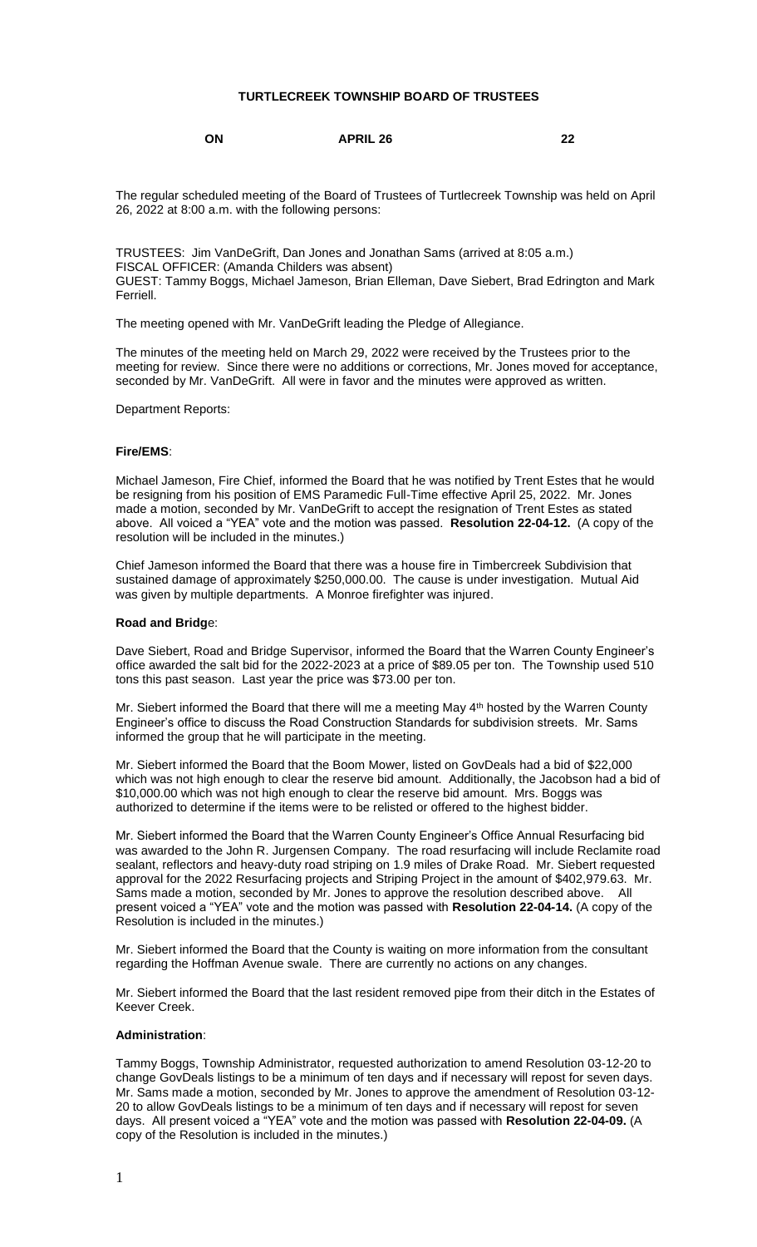## **TURTLECREEK TOWNSHIP BOARD OF TRUSTEES**

## **ON APRIL 26 22**

The regular scheduled meeting of the Board of Trustees of Turtlecreek Township was held on April 26, 2022 at 8:00 a.m. with the following persons:

TRUSTEES: Jim VanDeGrift, Dan Jones and Jonathan Sams (arrived at 8:05 a.m.) FISCAL OFFICER: (Amanda Childers was absent) GUEST: Tammy Boggs, Michael Jameson, Brian Elleman, Dave Siebert, Brad Edrington and Mark Ferriell.

The meeting opened with Mr. VanDeGrift leading the Pledge of Allegiance.

The minutes of the meeting held on March 29, 2022 were received by the Trustees prior to the meeting for review. Since there were no additions or corrections, Mr. Jones moved for acceptance, seconded by Mr. VanDeGrift. All were in favor and the minutes were approved as written.

Department Reports:

#### **Fire/EMS**:

Michael Jameson, Fire Chief, informed the Board that he was notified by Trent Estes that he would be resigning from his position of EMS Paramedic Full-Time effective April 25, 2022. Mr. Jones made a motion, seconded by Mr. VanDeGrift to accept the resignation of Trent Estes as stated above. All voiced a "YEA" vote and the motion was passed. **Resolution 22-04-12.** (A copy of the resolution will be included in the minutes.)

Chief Jameson informed the Board that there was a house fire in Timbercreek Subdivision that sustained damage of approximately \$250,000.00. The cause is under investigation. Mutual Aid was given by multiple departments. A Monroe firefighter was injured.

#### **Road and Bridg**e:

Dave Siebert, Road and Bridge Supervisor, informed the Board that the Warren County Engineer's office awarded the salt bid for the 2022-2023 at a price of \$89.05 per ton. The Township used 510 tons this past season. Last year the price was \$73.00 per ton.

Mr. Siebert informed the Board that there will me a meeting May 4<sup>th</sup> hosted by the Warren County Engineer's office to discuss the Road Construction Standards for subdivision streets. Mr. Sams informed the group that he will participate in the meeting.

Mr. Siebert informed the Board that the Boom Mower, listed on GovDeals had a bid of \$22,000 which was not high enough to clear the reserve bid amount. Additionally, the Jacobson had a bid of \$10,000.00 which was not high enough to clear the reserve bid amount. Mrs. Boggs was authorized to determine if the items were to be relisted or offered to the highest bidder.

Mr. Siebert informed the Board that the Warren County Engineer's Office Annual Resurfacing bid was awarded to the John R. Jurgensen Company. The road resurfacing will include Reclamite road sealant, reflectors and heavy-duty road striping on 1.9 miles of Drake Road. Mr. Siebert requested approval for the 2022 Resurfacing projects and Striping Project in the amount of \$402,979.63. Mr. Sams made a motion, seconded by Mr. Jones to approve the resolution described above. All present voiced a "YEA" vote and the motion was passed with **Resolution 22-04-14.** (A copy of the Resolution is included in the minutes.)

Mr. Siebert informed the Board that the County is waiting on more information from the consultant regarding the Hoffman Avenue swale. There are currently no actions on any changes.

Mr. Siebert informed the Board that the last resident removed pipe from their ditch in the Estates of Keever Creek.

#### **Administration**:

Tammy Boggs, Township Administrator, requested authorization to amend Resolution 03-12-20 to change GovDeals listings to be a minimum of ten days and if necessary will repost for seven days. Mr. Sams made a motion, seconded by Mr. Jones to approve the amendment of Resolution 03-12- 20 to allow GovDeals listings to be a minimum of ten days and if necessary will repost for seven days. All present voiced a "YEA" vote and the motion was passed with **Resolution 22-04-09.** (A copy of the Resolution is included in the minutes.)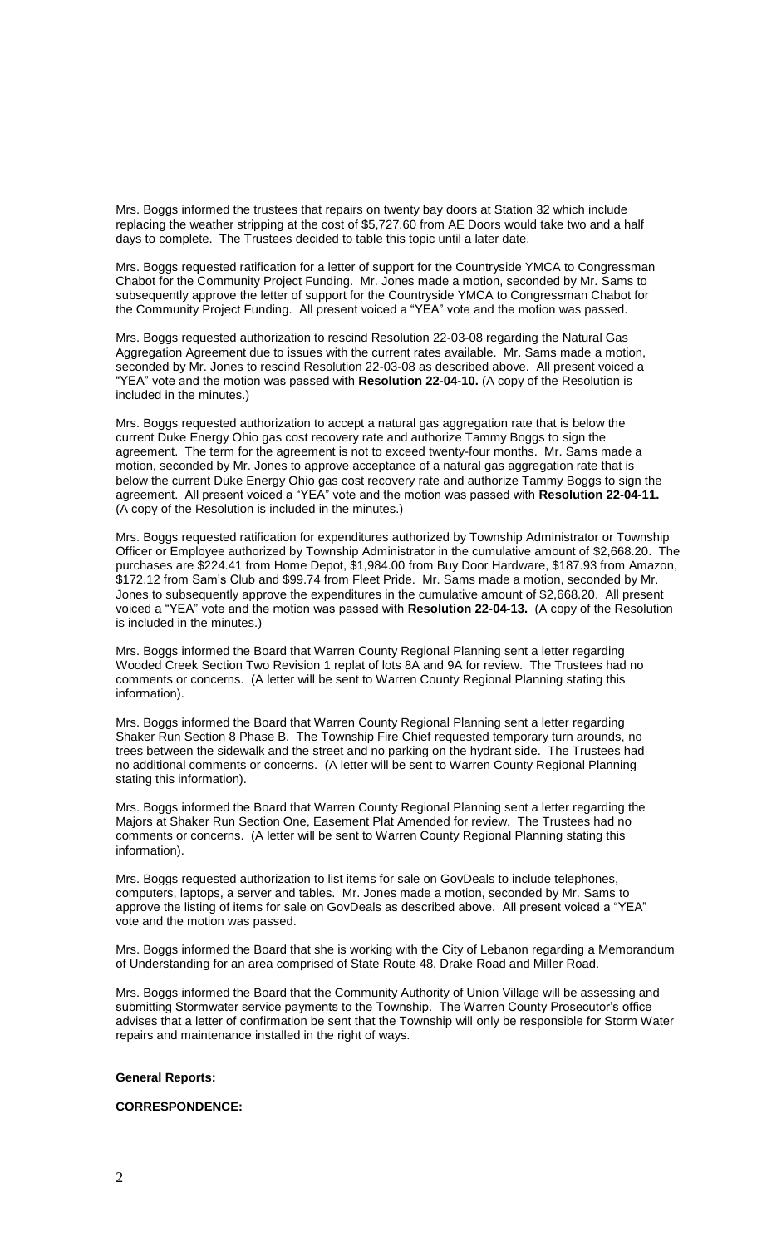Mrs. Boggs informed the trustees that repairs on twenty bay doors at Station 32 which include replacing the weather stripping at the cost of \$5,727.60 from AE Doors would take two and a half days to complete. The Trustees decided to table this topic until a later date.

Mrs. Boggs requested ratification for a letter of support for the Countryside YMCA to Congressman Chabot for the Community Project Funding. Mr. Jones made a motion, seconded by Mr. Sams to subsequently approve the letter of support for the Countryside YMCA to Congressman Chabot for the Community Project Funding. All present voiced a "YEA" vote and the motion was passed.

Mrs. Boggs requested authorization to rescind Resolution 22-03-08 regarding the Natural Gas Aggregation Agreement due to issues with the current rates available. Mr. Sams made a motion, seconded by Mr. Jones to rescind Resolution 22-03-08 as described above. All present voiced a "YEA" vote and the motion was passed with **Resolution 22-04-10.** (A copy of the Resolution is included in the minutes.)

Mrs. Boggs requested authorization to accept a natural gas aggregation rate that is below the current Duke Energy Ohio gas cost recovery rate and authorize Tammy Boggs to sign the agreement. The term for the agreement is not to exceed twenty-four months. Mr. Sams made a motion, seconded by Mr. Jones to approve acceptance of a natural gas aggregation rate that is below the current Duke Energy Ohio gas cost recovery rate and authorize Tammy Boggs to sign the agreement. All present voiced a "YEA" vote and the motion was passed with **Resolution 22-04-11.** (A copy of the Resolution is included in the minutes.)

Mrs. Boggs requested ratification for expenditures authorized by Township Administrator or Township Officer or Employee authorized by Township Administrator in the cumulative amount of \$2,668.20. The purchases are \$224.41 from Home Depot, \$1,984.00 from Buy Door Hardware, \$187.93 from Amazon, \$172.12 from Sam's Club and \$99.74 from Fleet Pride. Mr. Sams made a motion, seconded by Mr. Jones to subsequently approve the expenditures in the cumulative amount of \$2,668.20. All present voiced a "YEA" vote and the motion was passed with **Resolution 22-04-13.** (A copy of the Resolution is included in the minutes.)

Mrs. Boggs informed the Board that Warren County Regional Planning sent a letter regarding Wooded Creek Section Two Revision 1 replat of lots 8A and 9A for review. The Trustees had no comments or concerns. (A letter will be sent to Warren County Regional Planning stating this information).

Mrs. Boggs informed the Board that Warren County Regional Planning sent a letter regarding Shaker Run Section 8 Phase B. The Township Fire Chief requested temporary turn arounds, no trees between the sidewalk and the street and no parking on the hydrant side. The Trustees had no additional comments or concerns. (A letter will be sent to Warren County Regional Planning stating this information).

Mrs. Boggs informed the Board that Warren County Regional Planning sent a letter regarding the Majors at Shaker Run Section One, Easement Plat Amended for review. The Trustees had no comments or concerns. (A letter will be sent to Warren County Regional Planning stating this information).

Mrs. Boggs requested authorization to list items for sale on GovDeals to include telephones, computers, laptops, a server and tables. Mr. Jones made a motion, seconded by Mr. Sams to approve the listing of items for sale on GovDeals as described above. All present voiced a "YEA" vote and the motion was passed.

Mrs. Boggs informed the Board that she is working with the City of Lebanon regarding a Memorandum of Understanding for an area comprised of State Route 48, Drake Road and Miller Road.

Mrs. Boggs informed the Board that the Community Authority of Union Village will be assessing and submitting Stormwater service payments to the Township. The Warren County Prosecutor's office advises that a letter of confirmation be sent that the Township will only be responsible for Storm Water repairs and maintenance installed in the right of ways.

## **General Reports:**

## **CORRESPONDENCE:**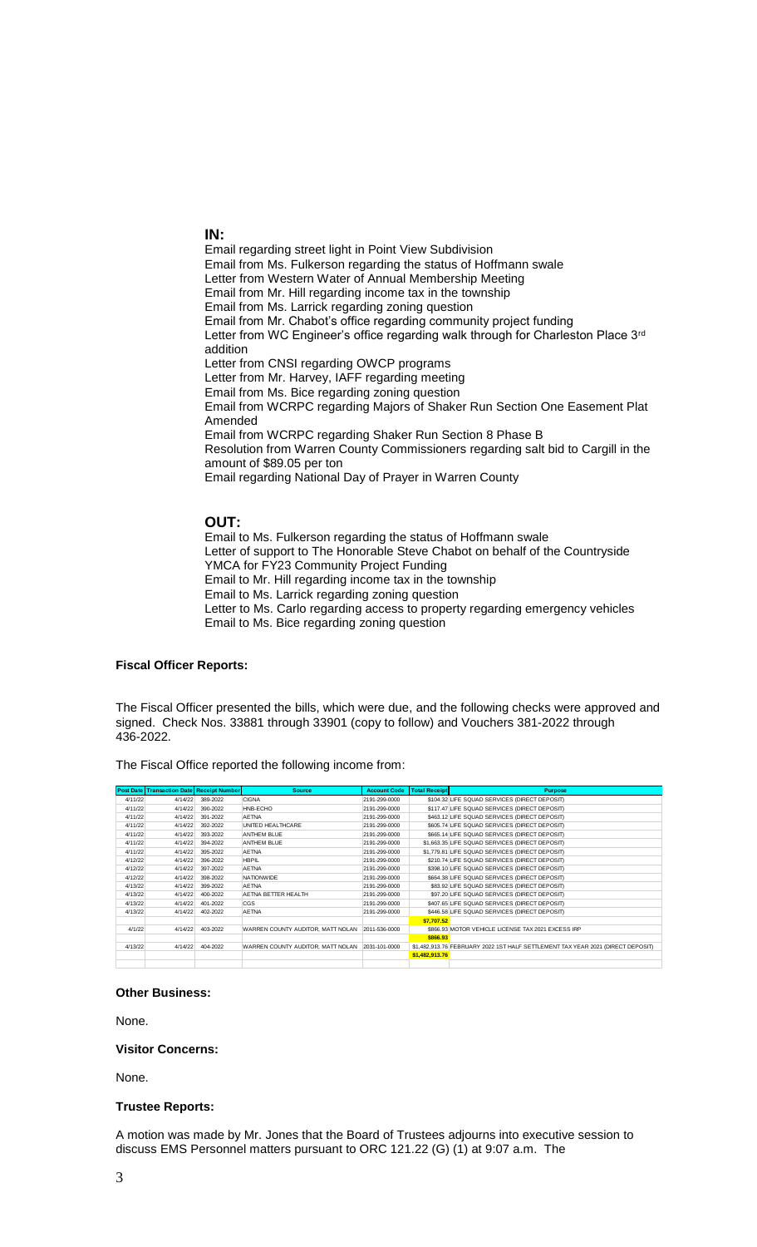## **IN:**

Email regarding street light in Point View Subdivision Email from Ms. Fulkerson regarding the status of Hoffmann swale Letter from Western Water of Annual Membership Meeting Email from Mr. Hill regarding income tax in the township Email from Ms. Larrick regarding zoning question Email from Mr. Chabot's office regarding community project funding Letter from WC Engineer's office regarding walk through for Charleston Place 3rd addition Letter from CNSI regarding OWCP programs Letter from Mr. Harvey, IAFF regarding meeting Email from Ms. Bice regarding zoning question Email from WCRPC regarding Majors of Shaker Run Section One Easement Plat Amended Email from WCRPC regarding Shaker Run Section 8 Phase B Resolution from Warren County Commissioners regarding salt bid to Cargill in the amount of \$89.05 per ton Email regarding National Day of Prayer in Warren County

# **OUT:**

Email to Ms. Fulkerson regarding the status of Hoffmann swale Letter of support to The Honorable Steve Chabot on behalf of the Countryside YMCA for FY23 Community Project Funding Email to Mr. Hill regarding income tax in the township Email to Ms. Larrick regarding zoning question Letter to Ms. Carlo regarding access to property regarding emergency vehicles Email to Ms. Bice regarding zoning question

### **Fiscal Officer Reports:**

The Fiscal Officer presented the bills, which were due, and the following checks were approved and signed. Check Nos. 33881 through 33901 (copy to follow) and Vouchers 381-2022 through 436-2022.

The Fiscal Office reported the following income from:

|         | <b>Post Date Transaction Date Receipt Number</b> |                  | <b>Source</b>                                   | <b>Account Code</b> | <b>Total Receipt</b> | <b>Purpose</b>                                                                  |
|---------|--------------------------------------------------|------------------|-------------------------------------------------|---------------------|----------------------|---------------------------------------------------------------------------------|
| 4/11/22 |                                                  | 4/14/22 389-2022 | <b>CIGNA</b>                                    | 2191-299-0000       |                      | \$104.32 LIFE SQUAD SERVICES (DIRECT DEPOSIT)                                   |
| 4/11/22 | 4/14/22                                          | 390-2022         | HNB-ECHO                                        | 2191-299-0000       |                      | \$117.47 LIFE SQUAD SERVICES (DIRECT DEPOSIT)                                   |
| 4/11/22 | 4/14/22                                          | 391-2022         | <b>AETNA</b>                                    | 2191-299-0000       |                      | \$463.12 LIFE SQUAD SERVICES (DIRECT DEPOSIT)                                   |
| 4/11/22 | 4/14/22                                          | 392-2022         | UNITED HEALTHCARE                               | 2191-299-0000       |                      | \$605.74 LIFE SQUAD SERVICES (DIRECT DEPOSIT)                                   |
| 4/11/22 | 4/14/22                                          | 393-2022         | ANTHEM BLUE                                     | 2191-299-0000       |                      | \$665.14 LIFE SQUAD SERVICES (DIRECT DEPOSIT)                                   |
| 4/11/22 | 4/14/22                                          | 394-2022         | ANTHEM BLUE                                     | 2191-299-0000       |                      | \$1,663,35 LIFE SQUAD SERVICES (DIRECT DEPOSIT)                                 |
| 4/11/22 | 4/14/22                                          | 395-2022         | <b>AETNA</b>                                    | 2191-299-0000       |                      | \$1,779.81 LIFE SQUAD SERVICES (DIRECT DEPOSIT)                                 |
| 4/12/22 | 4/14/22                                          | 396-2022         | <b>HBPIL</b>                                    | 2191-299-0000       |                      | \$210.74 LIFE SQUAD SERVICES (DIRECT DEPOSIT)                                   |
| 4/12/22 | 4/14/22                                          | 397-2022         | <b>AETNA</b>                                    | 2191-299-0000       |                      | \$398,10 LIFE SQUAD SERVICES (DIRECT DEPOSIT)                                   |
| 4/12/22 | 4/14/22                                          | 398-2022         | <b>NATIONWIDE</b>                               | 2191-299-0000       |                      | \$664.38 LIFE SQUAD SERVICES (DIRECT DEPOSIT)                                   |
| 4/13/22 | 4/14/22                                          | 399-2022         | <b>AETNA</b>                                    | 2191-299-0000       |                      | \$83.92 LIFE SQUAD SERVICES (DIRECT DEPOSIT)                                    |
| 4/13/22 | 4/14/22                                          | 400-2022         | AETNA BETTER HEALTH                             | 2191-299-0000       |                      | \$97.20 LIFE SQUAD SERVICES (DIRECT DEPOSIT)                                    |
| 4/13/22 | 4/14/22                                          | 401-2022         | CGS                                             | 2191-299-0000       |                      | \$407.65 LIFE SQUAD SERVICES (DIRECT DEPOSIT)                                   |
| 4/13/22 | 4/14/22                                          | 402-2022         | <b>AETNA</b>                                    | 2191-299-0000       |                      | \$446.58 LIFE SQUAD SERVICES (DIRECT DEPOSIT)                                   |
|         |                                                  |                  |                                                 |                     | \$7,707.52           |                                                                                 |
| 4/1/22  | 4/14/22                                          | 403-2022         | WARREN COUNTY AUDITOR, MATT NOLAN 2011-536-0000 |                     |                      | \$866.93 MOTOR VEHICLE LICENSE TAX 2021 EXCESS IRP                              |
|         |                                                  |                  |                                                 |                     | \$866.93             |                                                                                 |
| 4/13/22 | 4/14/22                                          | 404-2022         | WARREN COUNTY AUDITOR, MATT NOLAN 2031-101-0000 |                     |                      | \$1,482,913.76 FEBRUARY 2022 1ST HALF SETTLEMENT TAX YEAR 2021 (DIRECT DEPOSIT) |
|         |                                                  |                  |                                                 |                     | \$1,482,913.76       |                                                                                 |
|         |                                                  |                  |                                                 |                     |                      |                                                                                 |

#### **Other Business:**

None.

### **Visitor Concerns:**

None.

#### **Trustee Reports:**

A motion was made by Mr. Jones that the Board of Trustees adjourns into executive session to discuss EMS Personnel matters pursuant to ORC 121.22 (G) (1) at 9:07 a.m. The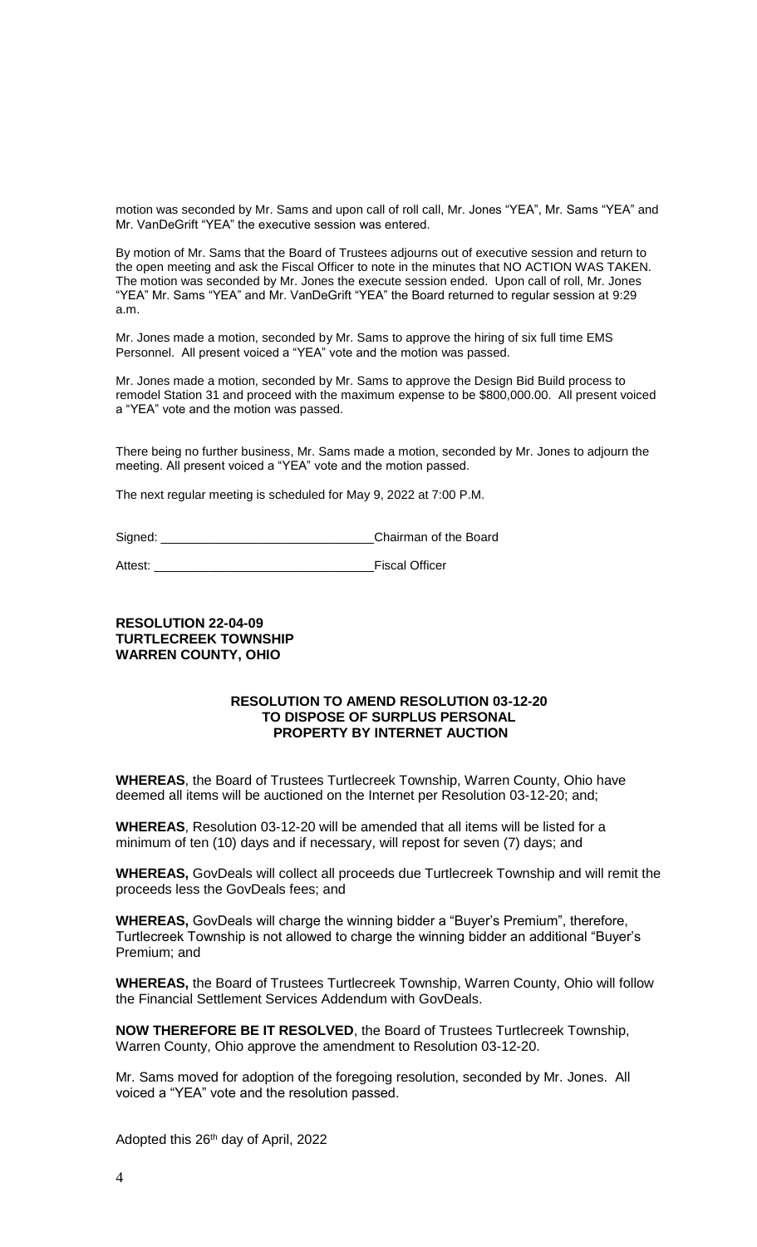motion was seconded by Mr. Sams and upon call of roll call, Mr. Jones "YEA", Mr. Sams "YEA" and Mr. VanDeGrift "YEA" the executive session was entered.

By motion of Mr. Sams that the Board of Trustees adjourns out of executive session and return to the open meeting and ask the Fiscal Officer to note in the minutes that NO ACTION WAS TAKEN. The motion was seconded by Mr. Jones the execute session ended. Upon call of roll, Mr. Jones "YEA" Mr. Sams "YEA" and Mr. VanDeGrift "YEA" the Board returned to regular session at 9:29 a.m.

Mr. Jones made a motion, seconded by Mr. Sams to approve the hiring of six full time EMS Personnel. All present voiced a "YEA" vote and the motion was passed.

Mr. Jones made a motion, seconded by Mr. Sams to approve the Design Bid Build process to remodel Station 31 and proceed with the maximum expense to be \$800,000.00. All present voiced a "YEA" vote and the motion was passed.

There being no further business, Mr. Sams made a motion, seconded by Mr. Jones to adjourn the meeting. All present voiced a "YEA" vote and the motion passed.

The next regular meeting is scheduled for May 9, 2022 at 7:00 P.M.

Signed: \_\_\_\_\_\_\_\_\_\_\_\_\_\_\_\_\_\_\_\_\_\_\_\_\_\_\_\_\_\_\_Chairman of the Board

Attest: **Attest: Attest: Attest: Attest: Attest: Attest: Attest: Attest: Attest: Attest: Attest: Attest: Attest: Attes: Attes: Attes: Attes: Attes: Attes: Attes: Attes: Attes: At** 

## **RESOLUTION 22-04-09 TURTLECREEK TOWNSHIP WARREN COUNTY, OHIO**

### **RESOLUTION TO AMEND RESOLUTION 03-12-20 TO DISPOSE OF SURPLUS PERSONAL PROPERTY BY INTERNET AUCTION**

**WHEREAS**, the Board of Trustees Turtlecreek Township, Warren County, Ohio have deemed all items will be auctioned on the Internet per Resolution 03-12-20; and;

**WHEREAS**, Resolution 03-12-20 will be amended that all items will be listed for a minimum of ten (10) days and if necessary, will repost for seven (7) days; and

**WHEREAS,** GovDeals will collect all proceeds due Turtlecreek Township and will remit the proceeds less the GovDeals fees; and

**WHEREAS,** GovDeals will charge the winning bidder a "Buyer's Premium", therefore, Turtlecreek Township is not allowed to charge the winning bidder an additional "Buyer's Premium; and

**WHEREAS,** the Board of Trustees Turtlecreek Township, Warren County, Ohio will follow the Financial Settlement Services Addendum with GovDeals.

**NOW THEREFORE BE IT RESOLVED**, the Board of Trustees Turtlecreek Township, Warren County, Ohio approve the amendment to Resolution 03-12-20.

Mr. Sams moved for adoption of the foregoing resolution, seconded by Mr. Jones. All voiced a "YEA" vote and the resolution passed.

Adopted this 26<sup>th</sup> day of April, 2022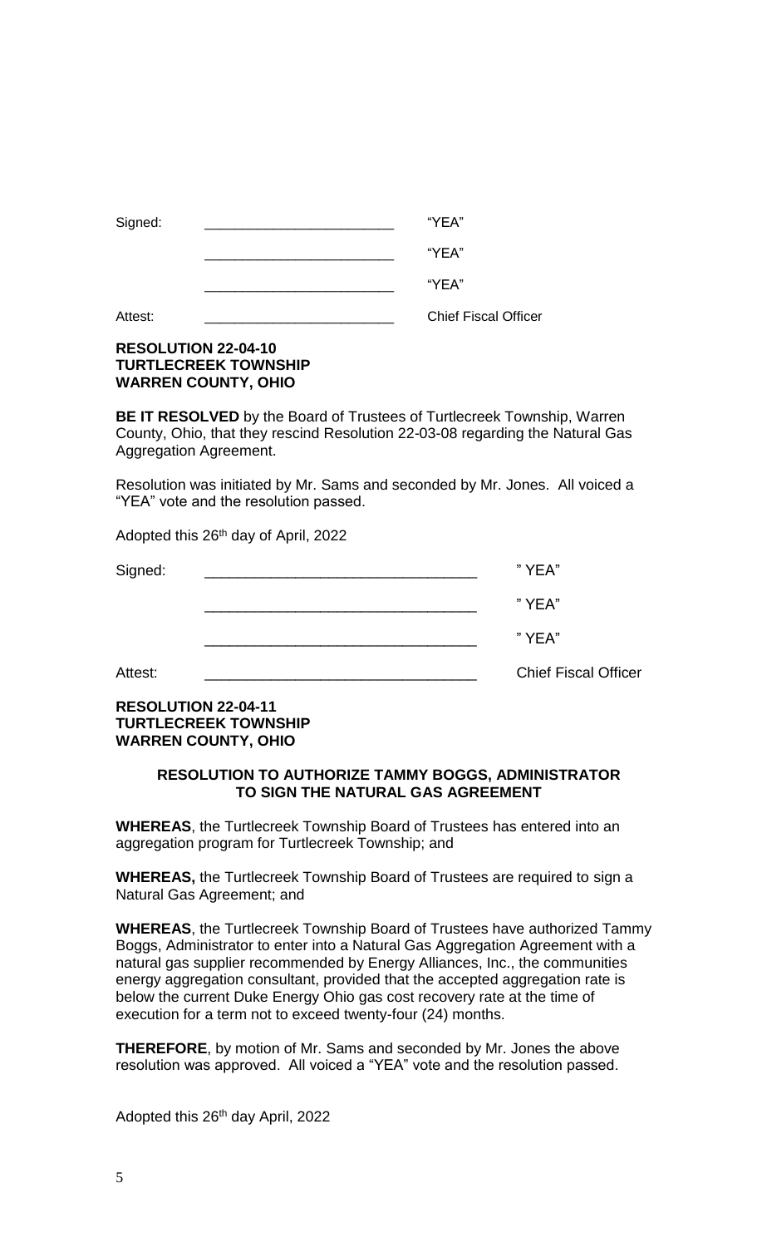| Signed: | "YEA"                       |
|---------|-----------------------------|
|         | "YEA"                       |
|         | "YEA"                       |
| Attest: | <b>Chief Fiscal Officer</b> |

# **RESOLUTION 22-04-10 TURTLECREEK TOWNSHIP WARREN COUNTY, OHIO**

**BE IT RESOLVED** by the Board of Trustees of Turtlecreek Township, Warren County, Ohio, that they rescind Resolution 22-03-08 regarding the Natural Gas Aggregation Agreement.

Resolution was initiated by Mr. Sams and seconded by Mr. Jones. All voiced a "YEA" vote and the resolution passed.

Adopted this 26th day of April, 2022

| Signed: | "YEA" |
|---------|-------|
|         | "YEA" |
|         | "YEA" |

Attest: **Attest: Attest: Attest: Attest: Attest: Attest: Attest: Attest: Attest: Attest: Attest: Attest: Attest: Attest: Attes: Attes: Attes: Attes: Attes: Attes: Attes: Attes: A** 

# **RESOLUTION 22-04-11 TURTLECREEK TOWNSHIP WARREN COUNTY, OHIO**

# **RESOLUTION TO AUTHORIZE TAMMY BOGGS, ADMINISTRATOR TO SIGN THE NATURAL GAS AGREEMENT**

**WHEREAS**, the Turtlecreek Township Board of Trustees has entered into an aggregation program for Turtlecreek Township; and

**WHEREAS,** the Turtlecreek Township Board of Trustees are required to sign a Natural Gas Agreement; and

**WHEREAS**, the Turtlecreek Township Board of Trustees have authorized Tammy Boggs, Administrator to enter into a Natural Gas Aggregation Agreement with a natural gas supplier recommended by Energy Alliances, Inc., the communities energy aggregation consultant, provided that the accepted aggregation rate is below the current Duke Energy Ohio gas cost recovery rate at the time of execution for a term not to exceed twenty-four (24) months.

**THEREFORE**, by motion of Mr. Sams and seconded by Mr. Jones the above resolution was approved. All voiced a "YEA" vote and the resolution passed.

Adopted this 26th day April, 2022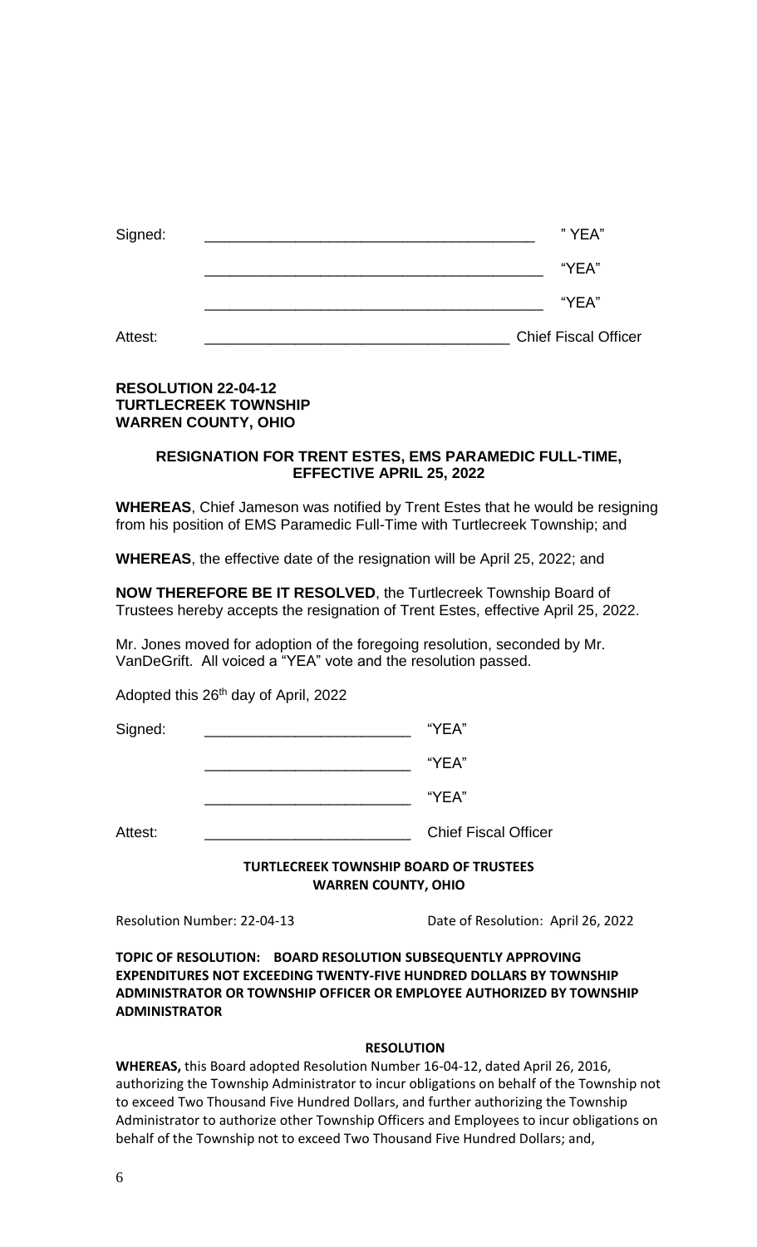| Signed: | "YEA"                       |
|---------|-----------------------------|
|         | "YEA"                       |
|         | "YEA"                       |
| Attest: | <b>Chief Fiscal Officer</b> |

# **RESOLUTION 22-04-12 TURTLECREEK TOWNSHIP WARREN COUNTY, OHIO**

# **RESIGNATION FOR TRENT ESTES, EMS PARAMEDIC FULL-TIME, EFFECTIVE APRIL 25, 2022**

**WHEREAS**, Chief Jameson was notified by Trent Estes that he would be resigning from his position of EMS Paramedic Full-Time with Turtlecreek Township; and

**WHEREAS**, the effective date of the resignation will be April 25, 2022; and

**NOW THEREFORE BE IT RESOLVED**, the Turtlecreek Township Board of Trustees hereby accepts the resignation of Trent Estes, effective April 25, 2022.

Mr. Jones moved for adoption of the foregoing resolution, seconded by Mr. VanDeGrift. All voiced a "YEA" vote and the resolution passed.

Adopted this 26<sup>th</sup> day of April, 2022

Signed: \_\_\_\_\_\_\_\_\_\_\_\_\_\_\_\_\_\_\_\_\_\_\_\_\_\_\_\_\_\_\_\_\_ "YEA"

 $\mathsf{``YEA''}$ 

 $\mathsf{``YEA''}$ 

Attest: **Attest: Attest: Attest: Attest: Attest: Attest: Attest: Attest: Attest: Attes: Attes: Attes: Attes: Attes: Attes: Attes: Attes: Attes: Attes: Attes: Attes: Attes: Attes:** 

# **TURTLECREEK TOWNSHIP BOARD OF TRUSTEES WARREN COUNTY, OHIO**

Resolution Number: 22-04-13 Date of Resolution: April 26, 2022

**TOPIC OF RESOLUTION: BOARD RESOLUTION SUBSEQUENTLY APPROVING EXPENDITURES NOT EXCEEDING TWENTY-FIVE HUNDRED DOLLARS BY TOWNSHIP ADMINISTRATOR OR TOWNSHIP OFFICER OR EMPLOYEE AUTHORIZED BY TOWNSHIP ADMINISTRATOR**

# **RESOLUTION**

**WHEREAS,** this Board adopted Resolution Number 16-04-12, dated April 26, 2016, authorizing the Township Administrator to incur obligations on behalf of the Township not to exceed Two Thousand Five Hundred Dollars, and further authorizing the Township Administrator to authorize other Township Officers and Employees to incur obligations on behalf of the Township not to exceed Two Thousand Five Hundred Dollars; and,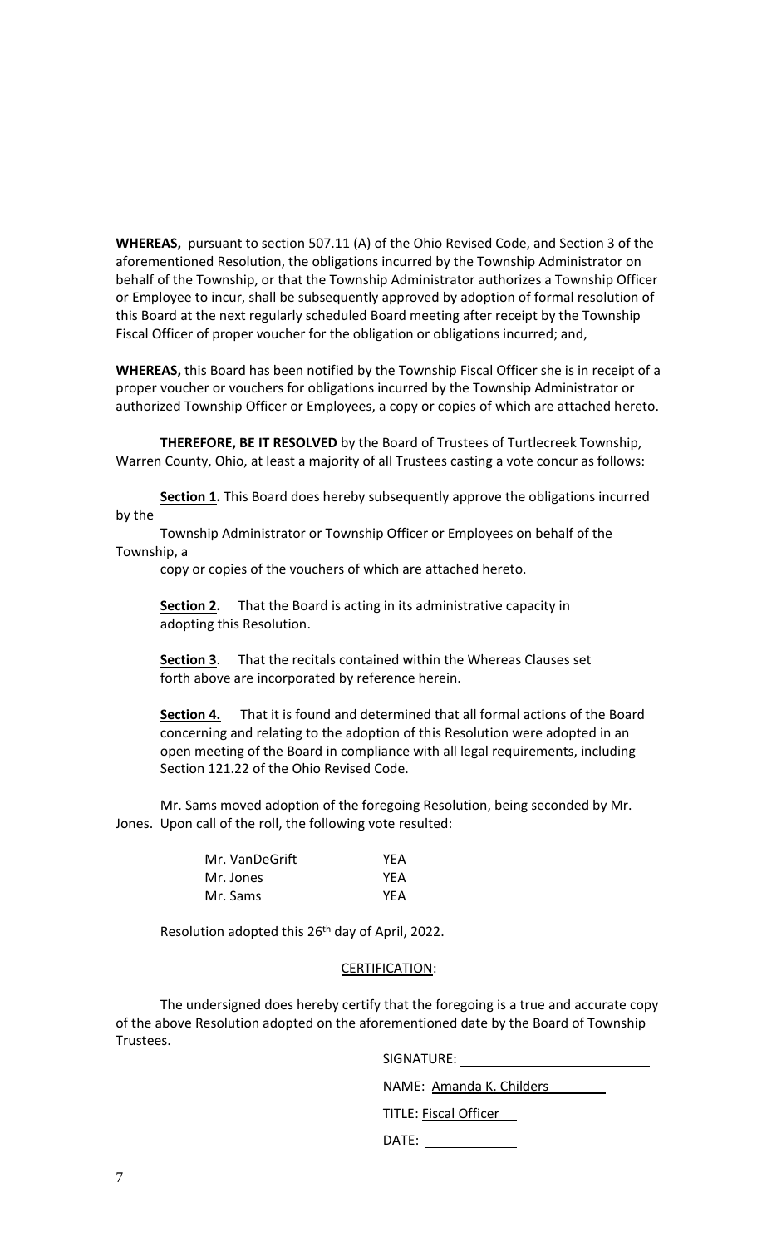**WHEREAS,** pursuant to section 507.11 (A) of the Ohio Revised Code, and Section 3 of the aforementioned Resolution, the obligations incurred by the Township Administrator on behalf of the Township, or that the Township Administrator authorizes a Township Officer or Employee to incur, shall be subsequently approved by adoption of formal resolution of this Board at the next regularly scheduled Board meeting after receipt by the Township Fiscal Officer of proper voucher for the obligation or obligations incurred; and,

**WHEREAS,** this Board has been notified by the Township Fiscal Officer she is in receipt of a proper voucher or vouchers for obligations incurred by the Township Administrator or authorized Township Officer or Employees, a copy or copies of which are attached hereto.

**THEREFORE, BE IT RESOLVED** by the Board of Trustees of Turtlecreek Township, Warren County, Ohio, at least a majority of all Trustees casting a vote concur as follows:

**Section 1.** This Board does hereby subsequently approve the obligations incurred by the

Township Administrator or Township Officer or Employees on behalf of the Township, a

copy or copies of the vouchers of which are attached hereto.

**Section 2.** That the Board is acting in its administrative capacity in adopting this Resolution.

**Section 3**. That the recitals contained within the Whereas Clauses set forth above are incorporated by reference herein.

**Section 4.** That it is found and determined that all formal actions of the Board concerning and relating to the adoption of this Resolution were adopted in an open meeting of the Board in compliance with all legal requirements, including Section 121.22 of the Ohio Revised Code.

Mr. Sams moved adoption of the foregoing Resolution, being seconded by Mr. Jones. Upon call of the roll, the following vote resulted:

| Mr. VanDeGrift | YEA |
|----------------|-----|
| Mr. Jones      | YEA |
| Mr. Sams       | YEA |

Resolution adopted this 26<sup>th</sup> day of April, 2022.

## CERTIFICATION:

The undersigned does hereby certify that the foregoing is a true and accurate copy of the above Resolution adopted on the aforementioned date by the Board of Township Trustees.

SIGNATURE:

NAME: Amanda K. Childers

TITLE: Fiscal Officer

DATE: